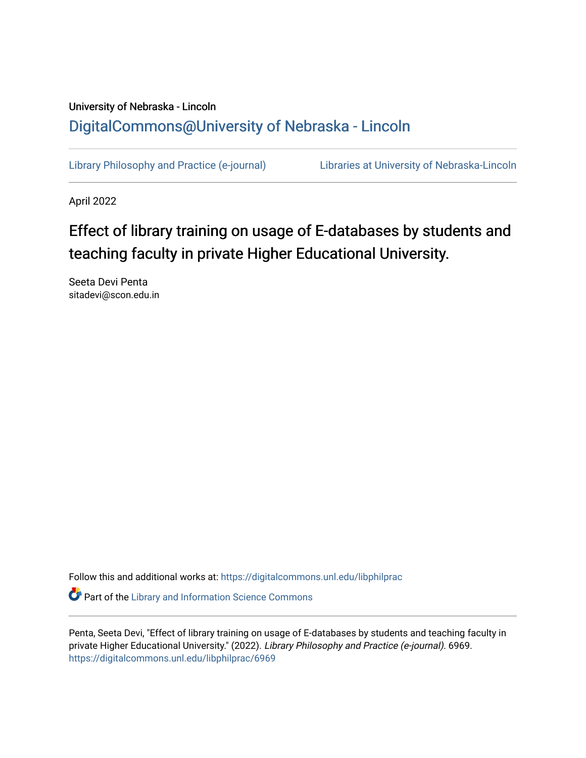## University of Nebraska - Lincoln [DigitalCommons@University of Nebraska - Lincoln](https://digitalcommons.unl.edu/)

[Library Philosophy and Practice \(e-journal\)](https://digitalcommons.unl.edu/libphilprac) [Libraries at University of Nebraska-Lincoln](https://digitalcommons.unl.edu/libraries) 

April 2022

# Effect of library training on usage of E-databases by students and teaching faculty in private Higher Educational University.

Seeta Devi Penta sitadevi@scon.edu.in

Follow this and additional works at: [https://digitalcommons.unl.edu/libphilprac](https://digitalcommons.unl.edu/libphilprac?utm_source=digitalcommons.unl.edu%2Flibphilprac%2F6969&utm_medium=PDF&utm_campaign=PDFCoverPages) 

**C** Part of the Library and Information Science Commons

Penta, Seeta Devi, "Effect of library training on usage of E-databases by students and teaching faculty in private Higher Educational University." (2022). Library Philosophy and Practice (e-journal). 6969. [https://digitalcommons.unl.edu/libphilprac/6969](https://digitalcommons.unl.edu/libphilprac/6969?utm_source=digitalcommons.unl.edu%2Flibphilprac%2F6969&utm_medium=PDF&utm_campaign=PDFCoverPages)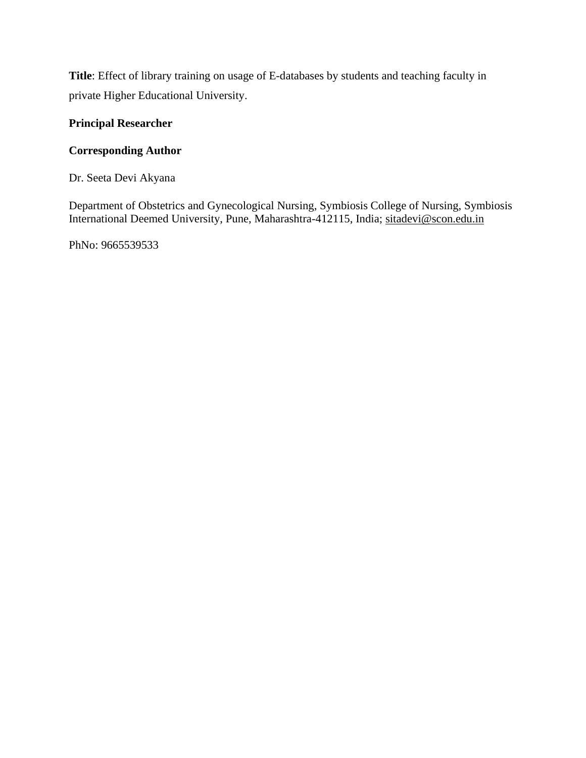**Title**: Effect of library training on usage of E-databases by students and teaching faculty in private Higher Educational University.

## **Principal Researcher**

## **Corresponding Author**

Dr. Seeta Devi Akyana

Department of Obstetrics and Gynecological Nursing, Symbiosis College of Nursing, Symbiosis International Deemed University, Pune, Maharashtra-412115, India; [sitadevi@scon.edu.in](mailto:sitadevi@scon.edu.in)

PhNo: 9665539533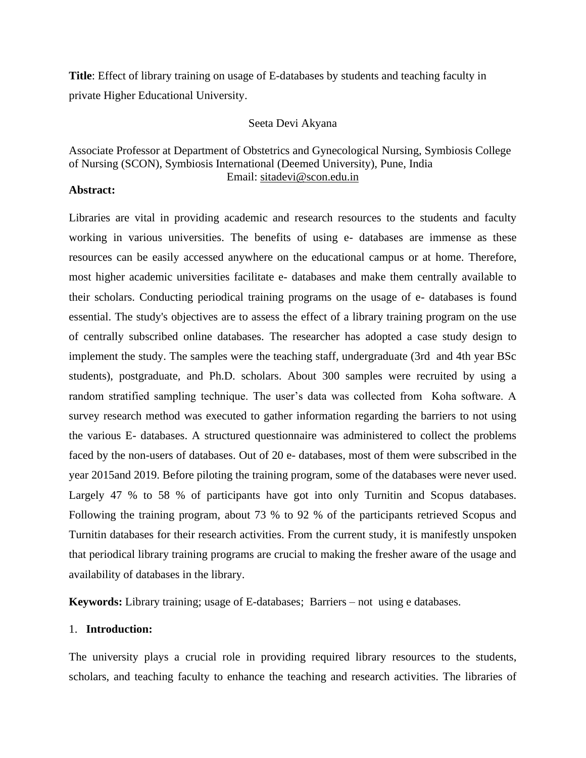**Title**: Effect of library training on usage of E-databases by students and teaching faculty in private Higher Educational University.

#### Seeta Devi Akyana

### Associate Professor at Department of Obstetrics and Gynecological Nursing, Symbiosis College of Nursing (SCON), Symbiosis International (Deemed University), Pune, India Email: [sitadevi@scon.edu.in](mailto:sitadevi@scon.edu.in)

#### **Abstract:**

Libraries are vital in providing academic and research resources to the students and faculty working in various universities. The benefits of using e- databases are immense as these resources can be easily accessed anywhere on the educational campus or at home. Therefore, most higher academic universities facilitate e- databases and make them centrally available to their scholars. Conducting periodical training programs on the usage of e- databases is found essential. The study's objectives are to assess the effect of a library training program on the use of centrally subscribed online databases. The researcher has adopted a case study design to implement the study. The samples were the teaching staff, undergraduate (3rd and 4th year BSc students), postgraduate, and Ph.D. scholars. About 300 samples were recruited by using a random stratified sampling technique. The user's data was collected from Koha software. A survey research method was executed to gather information regarding the barriers to not using the various E- databases. A structured questionnaire was administered to collect the problems faced by the non-users of databases. Out of 20 e- databases, most of them were subscribed in the year 2015and 2019. Before piloting the training program, some of the databases were never used. Largely 47 % to 58 % of participants have got into only Turnitin and Scopus databases. Following the training program, about 73 % to 92 % of the participants retrieved Scopus and Turnitin databases for their research activities. From the current study, it is manifestly unspoken that periodical library training programs are crucial to making the fresher aware of the usage and availability of databases in the library.

**Keywords:** Library training; usage of E-databases; Barriers – not using e databases.

#### 1. **Introduction:**

The university plays a crucial role in providing required library resources to the students, scholars, and teaching faculty to enhance the teaching and research activities. The libraries of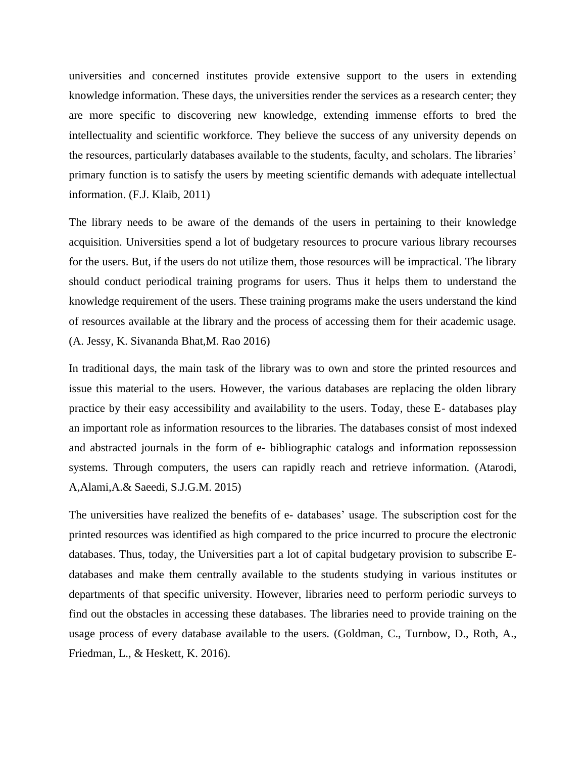universities and concerned institutes provide extensive support to the users in extending knowledge information. These days, the universities render the services as a research center; they are more specific to discovering new knowledge, extending immense efforts to bred the intellectuality and scientific workforce. They believe the success of any university depends on the resources, particularly databases available to the students, faculty, and scholars. The libraries' primary function is to satisfy the users by meeting scientific demands with adequate intellectual information. (F.J. Klaib, 2011)

The library needs to be aware of the demands of the users in pertaining to their knowledge acquisition. Universities spend a lot of budgetary resources to procure various library recourses for the users. But, if the users do not utilize them, those resources will be impractical. The library should conduct periodical training programs for users. Thus it helps them to understand the knowledge requirement of the users. These training programs make the users understand the kind of resources available at the library and the process of accessing them for their academic usage. (A. Jessy, K. Sivananda Bhat,M. Rao 2016)

In traditional days, the main task of the library was to own and store the printed resources and issue this material to the users. However, the various databases are replacing the olden library practice by their easy accessibility and availability to the users. Today, these E- databases play an important role as information resources to the libraries. The databases consist of most indexed and abstracted journals in the form of e- bibliographic catalogs and information repossession systems. Through computers, the users can rapidly reach and retrieve information. (Atarodi, A,Alami,A.& Saeedi, S.J.G.M. 2015)

The universities have realized the benefits of e- databases' usage. The subscription cost for the printed resources was identified as high compared to the price incurred to procure the electronic databases. Thus, today, the Universities part a lot of capital budgetary provision to subscribe Edatabases and make them centrally available to the students studying in various institutes or departments of that specific university. However, libraries need to perform periodic surveys to find out the obstacles in accessing these databases. The libraries need to provide training on the usage process of every database available to the users. (Goldman, C., Turnbow, D., Roth, A., Friedman, L., & Heskett, K. 2016).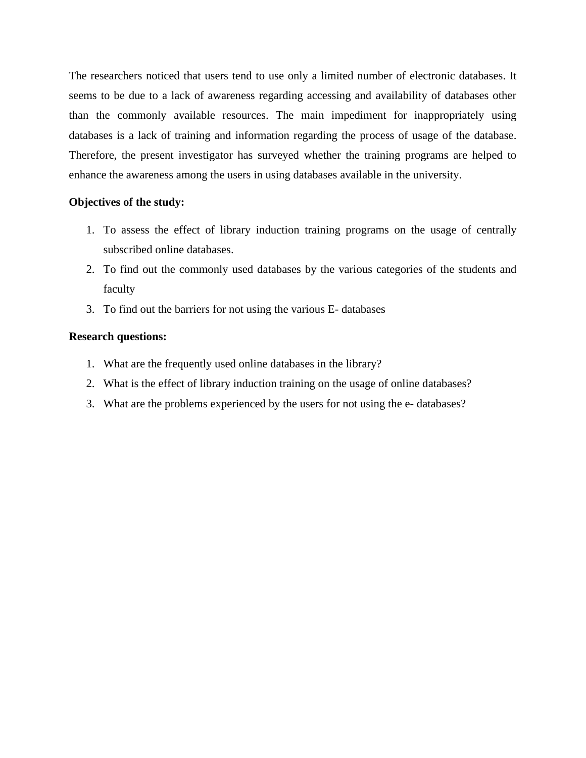The researchers noticed that users tend to use only a limited number of electronic databases. It seems to be due to a lack of awareness regarding accessing and availability of databases other than the commonly available resources. The main impediment for inappropriately using databases is a lack of training and information regarding the process of usage of the database. Therefore, the present investigator has surveyed whether the training programs are helped to enhance the awareness among the users in using databases available in the university.

#### **Objectives of the study:**

- 1. To assess the effect of library induction training programs on the usage of centrally subscribed online databases.
- 2. To find out the commonly used databases by the various categories of the students and faculty
- 3. To find out the barriers for not using the various E- databases

#### **Research questions:**

- 1. What are the frequently used online databases in the library?
- 2. What is the effect of library induction training on the usage of online databases?
- 3. What are the problems experienced by the users for not using the e- databases?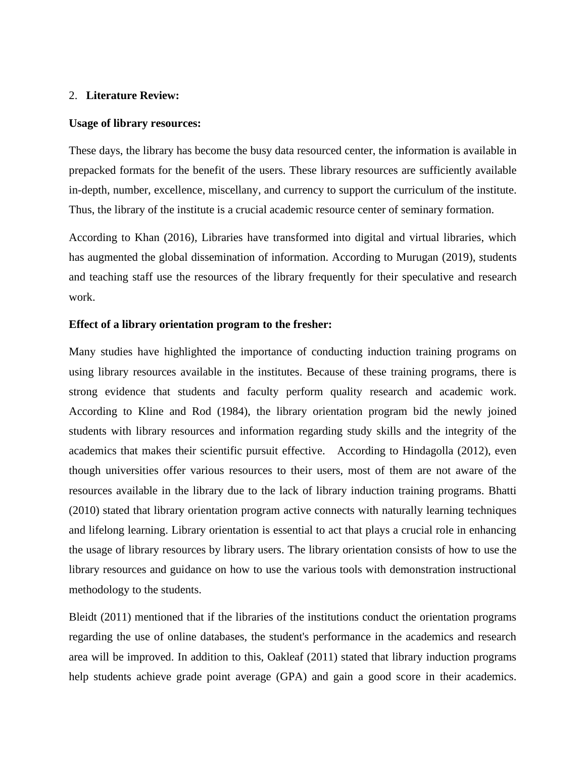#### 2. **Literature Review:**

#### **Usage of library resources:**

These days, the library has become the busy data resourced center, the information is available in prepacked formats for the benefit of the users. These library resources are sufficiently available in-depth, number, excellence, miscellany, and currency to support the curriculum of the institute. Thus, the library of the institute is a crucial academic resource center of seminary formation.

According to Khan (2016), Libraries have transformed into digital and virtual libraries, which has augmented the global dissemination of information. According to Murugan (2019), students and teaching staff use the resources of the library frequently for their speculative and research work.

#### **Effect of a library orientation program to the fresher:**

Many studies have highlighted the importance of conducting induction training programs on using library resources available in the institutes. Because of these training programs, there is strong evidence that students and faculty perform quality research and academic work. According to Kline and Rod (1984), the library orientation program bid the newly joined students with library resources and information regarding study skills and the integrity of the academics that makes their scientific pursuit effective. According to Hindagolla (2012), even though universities offer various resources to their users, most of them are not aware of the resources available in the library due to the lack of library induction training programs. Bhatti (2010) stated that library orientation program active connects with naturally learning techniques and lifelong learning. Library orientation is essential to act that plays a crucial role in enhancing the usage of library resources by library users. The library orientation consists of how to use the library resources and guidance on how to use the various tools with demonstration instructional methodology to the students.

Bleidt (2011) mentioned that if the libraries of the institutions conduct the orientation programs regarding the use of online databases, the student's performance in the academics and research area will be improved. In addition to this, Oakleaf (2011) stated that library induction programs help students achieve grade point average (GPA) and gain a good score in their academics.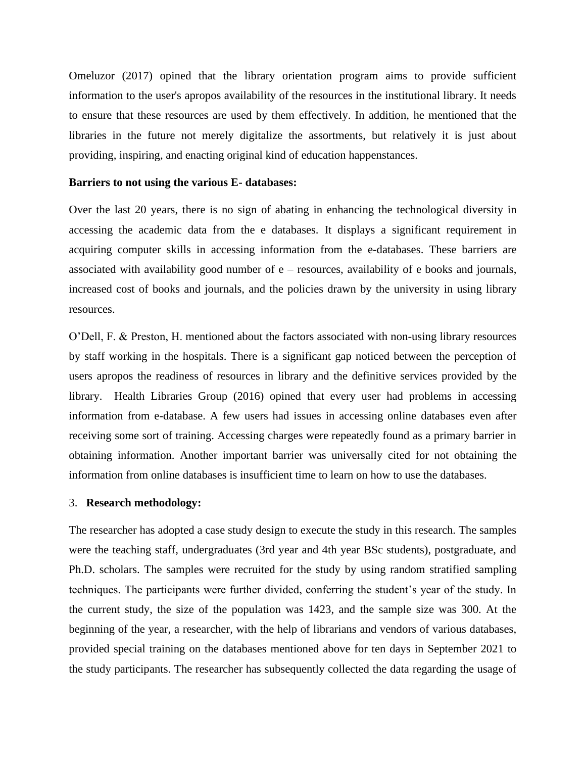Omeluzor (2017) opined that the library orientation program aims to provide sufficient information to the user's apropos availability of the resources in the institutional library. It needs to ensure that these resources are used by them effectively. In addition, he mentioned that the libraries in the future not merely digitalize the assortments, but relatively it is just about providing, inspiring, and enacting original kind of education happenstances.

#### **Barriers to not using the various E- databases:**

Over the last 20 years, there is no sign of abating in enhancing the technological diversity in accessing the academic data from the e databases. It displays a significant requirement in acquiring computer skills in accessing information from the e-databases. These barriers are associated with availability good number of e – resources, availability of e books and journals, increased cost of books and journals, and the policies drawn by the university in using library resources.

O'Dell, F. & Preston, H. mentioned about the factors associated with non-using library resources by staff working in the hospitals. There is a significant gap noticed between the perception of users apropos the readiness of resources in library and the definitive services provided by the library. Health Libraries Group (2016) opined that every user had problems in accessing information from e-database. A few users had issues in accessing online databases even after receiving some sort of training. Accessing charges were repeatedly found as a primary barrier in obtaining information. Another important barrier was universally cited for not obtaining the information from online databases is insufficient time to learn on how to use the databases.

#### 3. **Research methodology:**

The researcher has adopted a case study design to execute the study in this research. The samples were the teaching staff, undergraduates (3rd year and 4th year BSc students), postgraduate, and Ph.D. scholars. The samples were recruited for the study by using random stratified sampling techniques. The participants were further divided, conferring the student's year of the study. In the current study, the size of the population was 1423, and the sample size was 300. At the beginning of the year, a researcher, with the help of librarians and vendors of various databases, provided special training on the databases mentioned above for ten days in September 2021 to the study participants. The researcher has subsequently collected the data regarding the usage of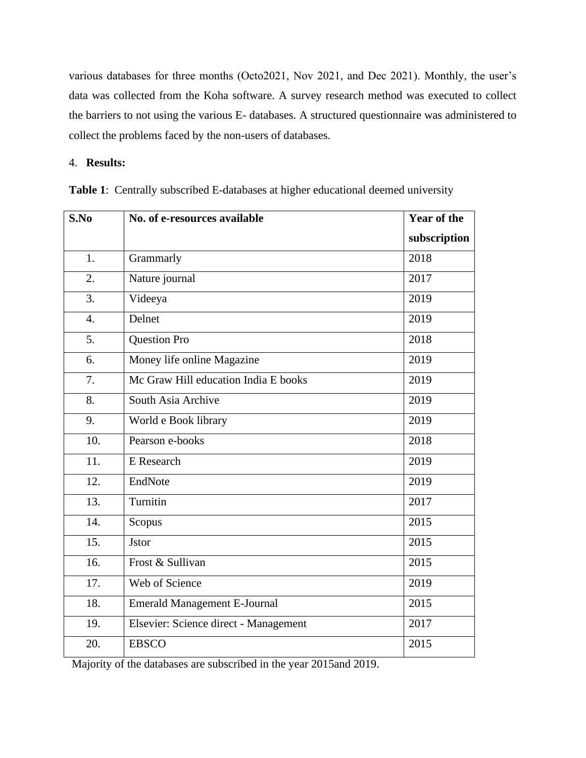various databases for three months (Octo2021, Nov 2021, and Dec 2021). Monthly, the user's data was collected from the Koha software. A survey research method was executed to collect the barriers to not using the various E- databases. A structured questionnaire was administered to collect the problems faced by the non-users of databases.

4. **Results:**

| S.No             | No. of e-resources available          | Year of the  |
|------------------|---------------------------------------|--------------|
|                  |                                       | subscription |
| 1.               | Grammarly                             | 2018         |
| $\overline{2}$ . | Nature journal                        | 2017         |
| 3.               | Videeya                               | 2019         |
| $\overline{4}$ . | Delnet                                | 2019         |
| 5.               | <b>Question Pro</b>                   | 2018         |
| 6.               | Money life online Magazine            | 2019         |
| 7.               | Mc Graw Hill education India E books  | 2019         |
| 8.               | South Asia Archive                    | 2019         |
| 9.               | World e Book library                  | 2019         |
| 10.              | Pearson e-books                       | 2018         |
| 11.              | E Research                            | 2019         |
| 12.              | EndNote                               | 2019         |
| 13.              | Turnitin                              | 2017         |
| 14.              | Scopus                                | 2015         |
| 15.              | <b>J</b> stor                         | 2015         |
| 16.              | Frost & Sullivan                      | 2015         |
| 17.              | Web of Science                        | 2019         |
| 18.              | <b>Emerald Management E-Journal</b>   | 2015         |
| 19.              | Elsevier: Science direct - Management | 2017         |
| 20.              | <b>EBSCO</b>                          | 2015         |

**Table 1**: Centrally subscribed E-databases at higher educational deemed university

Majority of the databases are subscribed in the year 2015and 2019.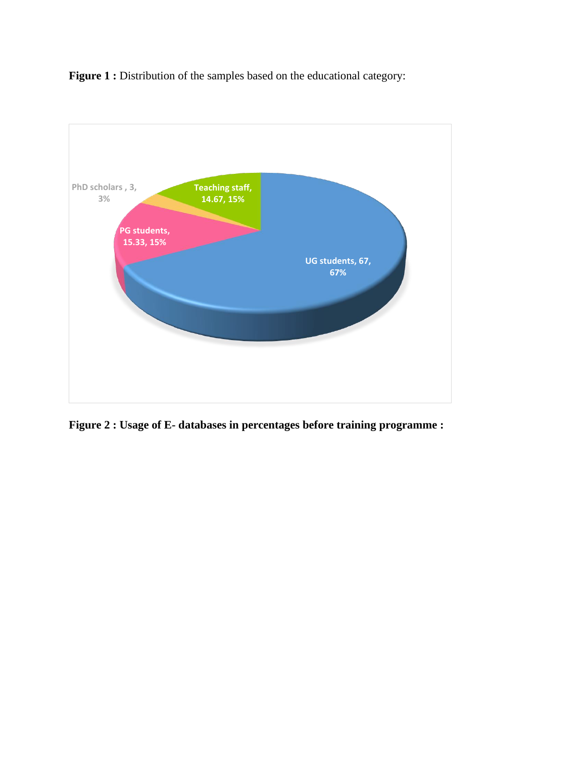**Figure 1 :** Distribution of the samples based on the educational category:



**Figure 2 : Usage of E- databases in percentages before training programme :**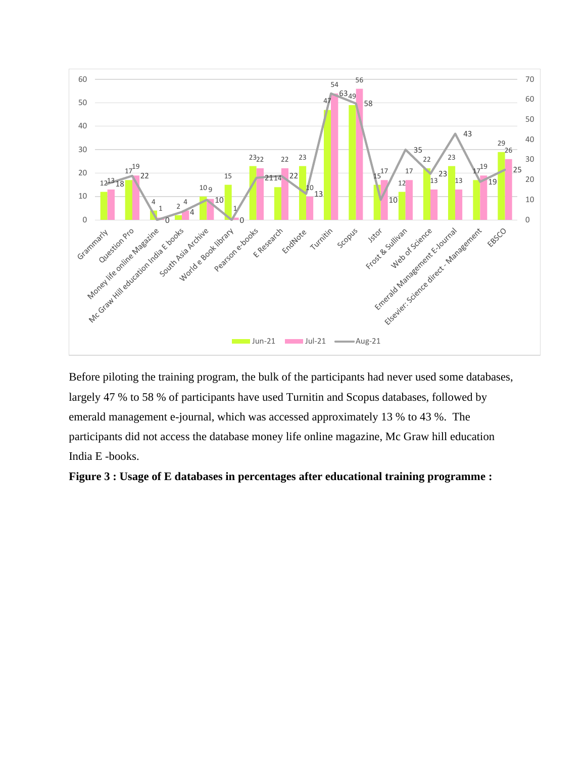

Before piloting the training program, the bulk of the participants had never used some databases, largely 47 % to 58 % of participants have used Turnitin and Scopus databases, followed by emerald management e-journal, which was accessed approximately 13 % to 43 %. The participants did not access the database money life online magazine, Mc Graw hill education India E -books.

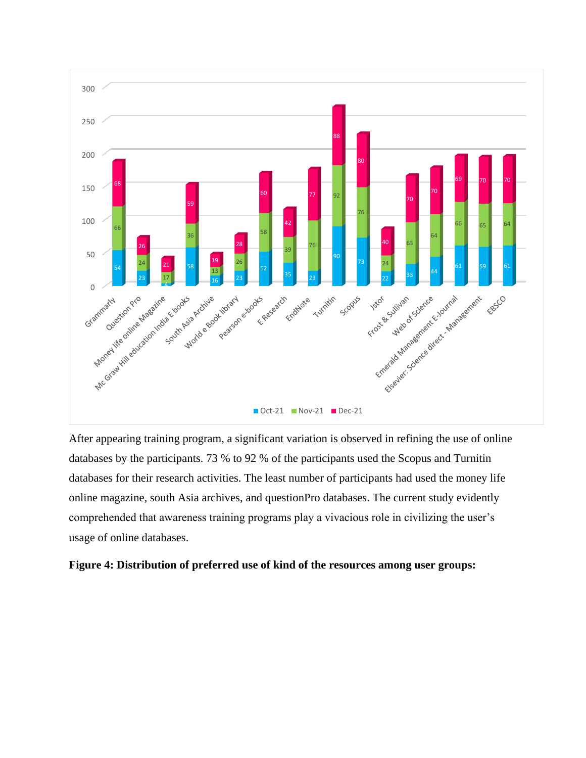

After appearing training program, a significant variation is observed in refining the use of online databases by the participants. 73 % to 92 % of the participants used the Scopus and Turnitin databases for their research activities. The least number of participants had used the money life online magazine, south Asia archives, and questionPro databases. The current study evidently comprehended that awareness training programs play a vivacious role in civilizing the user's usage of online databases.

#### **Figure 4: Distribution of preferred use of kind of the resources among user groups:**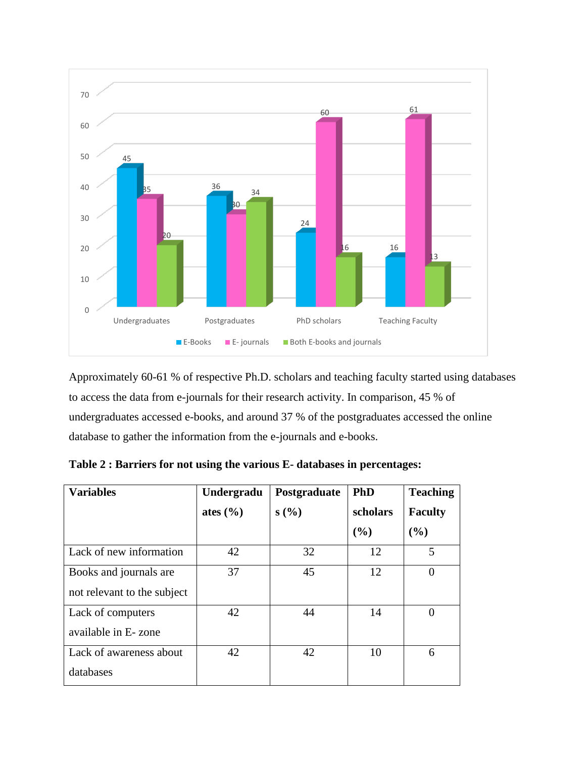

Approximately 60-61 % of respective Ph.D. scholars and teaching faculty started using databases to access the data from e-journals for their research activity. In comparison, 45 % of undergraduates accessed e-books, and around 37 % of the postgraduates accessed the online database to gather the information from the e-journals and e-books.

| <b>Variables</b>            | Undergradu   | Postgraduate | <b>PhD</b> | <b>Teaching</b> |
|-----------------------------|--------------|--------------|------------|-----------------|
|                             | ates $(\% )$ | s(%)         | scholars   | <b>Faculty</b>  |
|                             |              |              | (%)        | (%)             |
| Lack of new information     | 42           | 32           | 12         | 5               |
| Books and journals are      | 37           | 45           | 12         |                 |
| not relevant to the subject |              |              |            |                 |
| Lack of computers           | 42           | 44           | 14         | 0               |
| available in E-zone         |              |              |            |                 |
| Lack of awareness about     | 42           | 42           | 10         | 6               |
| databases                   |              |              |            |                 |

**Table 2 : Barriers for not using the various E- databases in percentages:**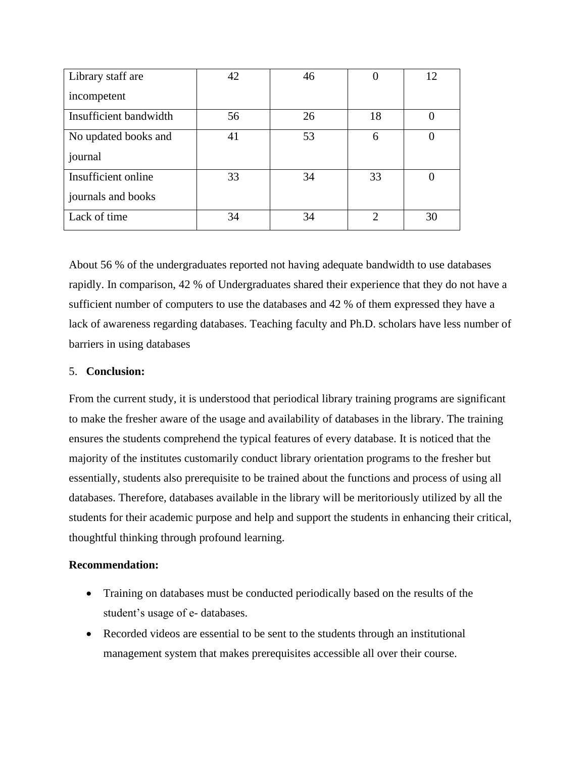| Library staff are      | 42 | 46 |    | 12 |
|------------------------|----|----|----|----|
| incompetent            |    |    |    |    |
| Insufficient bandwidth | 56 | 26 | 18 |    |
| No updated books and   | 41 | 53 | 6  |    |
| journal                |    |    |    |    |
| Insufficient online    | 33 | 34 | 33 | 0  |
| journals and books     |    |    |    |    |
| Lack of time           | 34 | 34 | っ  | 30 |

About 56 % of the undergraduates reported not having adequate bandwidth to use databases rapidly. In comparison, 42 % of Undergraduates shared their experience that they do not have a sufficient number of computers to use the databases and 42 % of them expressed they have a lack of awareness regarding databases. Teaching faculty and Ph.D. scholars have less number of barriers in using databases

#### 5. **Conclusion:**

From the current study, it is understood that periodical library training programs are significant to make the fresher aware of the usage and availability of databases in the library. The training ensures the students comprehend the typical features of every database. It is noticed that the majority of the institutes customarily conduct library orientation programs to the fresher but essentially, students also prerequisite to be trained about the functions and process of using all databases. Therefore, databases available in the library will be meritoriously utilized by all the students for their academic purpose and help and support the students in enhancing their critical, thoughtful thinking through profound learning.

#### **Recommendation:**

- Training on databases must be conducted periodically based on the results of the student's usage of e- databases.
- Recorded videos are essential to be sent to the students through an institutional management system that makes prerequisites accessible all over their course.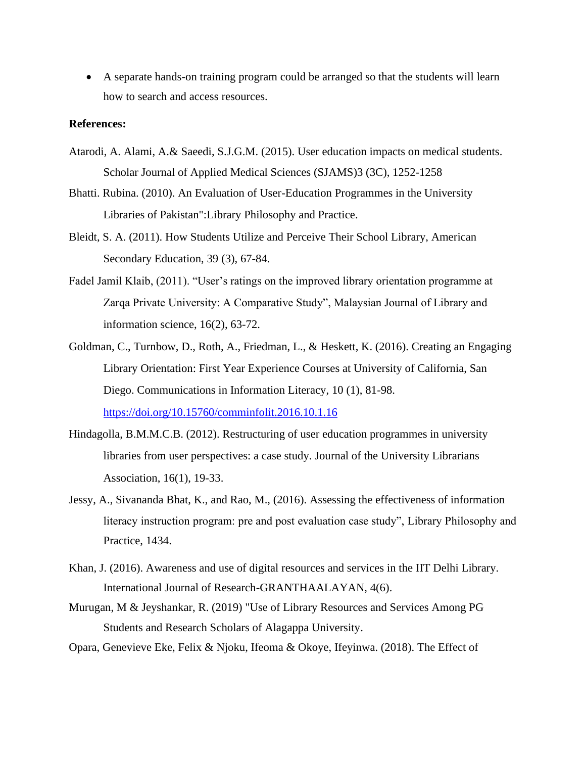• A separate hands-on training program could be arranged so that the students will learn how to search and access resources.

#### **References:**

- Atarodi, A. Alami, A.& Saeedi, S.J.G.M. (2015). User education impacts on medical students. Scholar Journal of Applied Medical Sciences (SJAMS)3 (3C), 1252-1258
- Bhatti. Rubina. (2010). An Evaluation of User-Education Programmes in the University Libraries of Pakistan":Library Philosophy and Practice.
- Bleidt, S. A. (2011). How Students Utilize and Perceive Their School Library, American Secondary Education, 39 (3), 67-84.
- Fadel Jamil Klaib, (2011). "User's ratings on the improved library orientation programme at Zarqa Private University: A Comparative Study", Malaysian Journal of Library and information science, 16(2), 63-72.
- Goldman, C., Turnbow, D., Roth, A., Friedman, L., & Heskett, K. (2016). Creating an Engaging Library Orientation: First Year Experience Courses at University of California, San Diego. Communications in Information Literacy, 10 (1), 81-98. <https://doi.org/10.15760/comminfolit.2016.10.1.16>
- Hindagolla, B.M.M.C.B. (2012). Restructuring of user education programmes in university libraries from user perspectives: a case study. Journal of the University Librarians Association, 16(1), 19-33.
- Jessy, A., Sivananda Bhat, K., and Rao, M., (2016). Assessing the effectiveness of information literacy instruction program: pre and post evaluation case study", Library Philosophy and Practice, 1434.
- Khan, J. (2016). Awareness and use of digital resources and services in the IIT Delhi Library. International Journal of Research-GRANTHAALAYAN, 4(6).
- Murugan, M & Jeyshankar, R. (2019) "Use of Library Resources and Services Among PG Students and Research Scholars of Alagappa University.
- Opara, Genevieve Eke, Felix & Njoku, Ifeoma & Okoye, Ifeyinwa. (2018). The Effect of